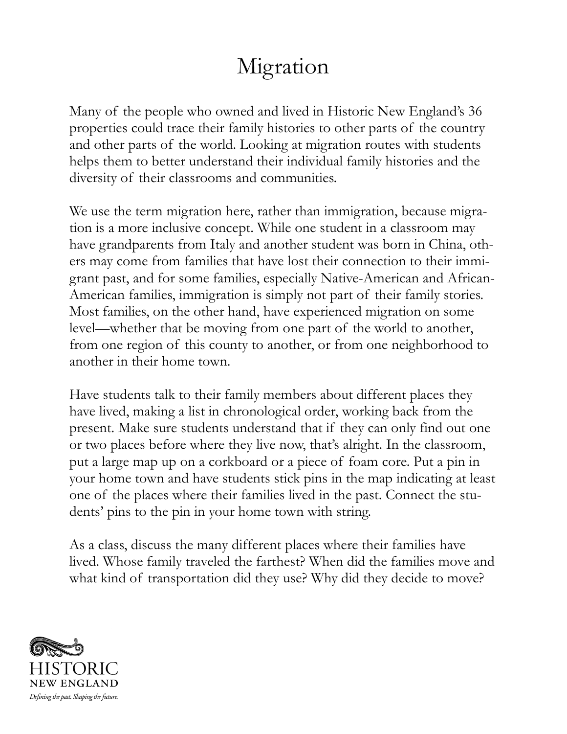## Migration

Many of the people who owned and lived in Historic New England's 36 properties could trace their family histories to other parts of the country and other parts of the world. Looking at migration routes with students helps them to better understand their individual family histories and the diversity of their classrooms and communities.

We use the term migration here, rather than immigration, because migration is a more inclusive concept. While one student in a classroom may have grandparents from Italy and another student was born in China, others may come from families that have lost their connection to their immigrant past, and for some families, especially Native-American and African-American families, immigration is simply not part of their family stories. Most families, on the other hand, have experienced migration on some level—whether that be moving from one part of the world to another, from one region of this county to another, or from one neighborhood to another in their home town.

Have students talk to their family members about different places they have lived, making a list in chronological order, working back from the present. Make sure students understand that if they can only find out one or two places before where they live now, that's alright. In the classroom, put a large map up on a corkboard or a piece of foam core. Put a pin in your home town and have students stick pins in the map indicating at least one of the places where their families lived in the past. Connect the students' pins to the pin in your home town with string.

As a class, discuss the many different places where their families have lived. Whose family traveled the farthest? When did the families move and what kind of transportation did they use? Why did they decide to move?